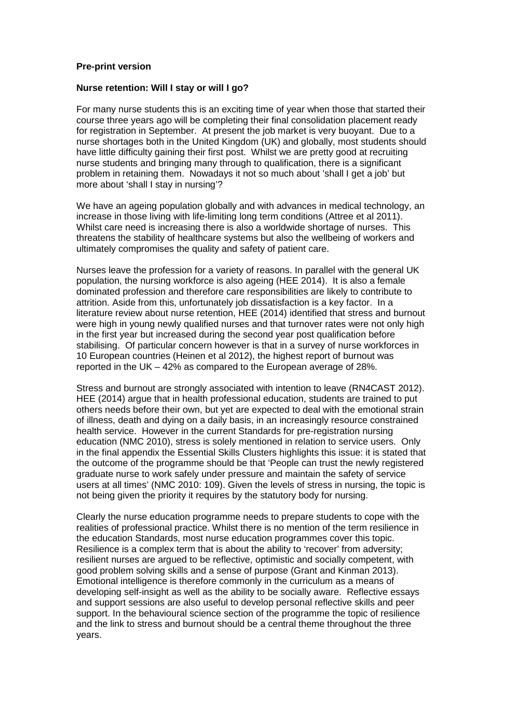## **Pre-print version**

## **Nurse retention: Will I stay or will I go?**

For many nurse students this is an exciting time of year when those that started their course three years ago will be completing their final consolidation placement ready for registration in September. At present the job market is very buoyant. Due to a nurse shortages both in the United Kingdom (UK) and globally, most students should have little difficulty gaining their first post. Whilst we are pretty good at recruiting nurse students and bringing many through to qualification, there is a significant problem in retaining them. Nowadays it not so much about 'shall I get a job' but more about 'shall I stay in nursing'?

We have an ageing population globally and with advances in medical technology, an increase in those living with life-limiting long term conditions (Attree et al 2011). Whilst care need is increasing there is also a worldwide shortage of nurses. This threatens the stability of healthcare systems but also the wellbeing of workers and ultimately compromises the quality and safety of patient care.

Nurses leave the profession for a variety of reasons. In parallel with the general UK population, the nursing workforce is also ageing (HEE 2014). It is also a female dominated profession and therefore care responsibilities are likely to contribute to attrition. Aside from this, unfortunately job dissatisfaction is a key factor. In a literature review about nurse retention, HEE (2014) identified that stress and burnout were high in young newly qualified nurses and that turnover rates were not only high in the first year but increased during the second year post qualification before stabilising. Of particular concern however is that in a survey of nurse workforces in 10 European countries (Heinen et al 2012), the highest report of burnout was reported in the UK – 42% as compared to the European average of 28%.

Stress and burnout are strongly associated with intention to leave (RN4CAST 2012). HEE (2014) argue that in health professional education, students are trained to put others needs before their own, but yet are expected to deal with the emotional strain of illness, death and dying on a daily basis, in an increasingly resource constrained health service. However in the current Standards for pre-registration nursing education (NMC 2010), stress is solely mentioned in relation to service users. Only in the final appendix the Essential Skills Clusters highlights this issue: it is stated that the outcome of the programme should be that 'People can trust the newly registered graduate nurse to work safely under pressure and maintain the safety of service users at all times' (NMC 2010: 109). Given the levels of stress in nursing, the topic is not being given the priority it requires by the statutory body for nursing.

Clearly the nurse education programme needs to prepare students to cope with the realities of professional practice. Whilst there is no mention of the term resilience in the education Standards, most nurse education programmes cover this topic. Resilience is a complex term that is about the ability to 'recover' from adversity; resilient nurses are argued to be reflective, optimistic and socially competent, with good problem solving skills and a sense of purpose (Grant and Kinman 2013). Emotional intelligence is therefore commonly in the curriculum as a means of developing self-insight as well as the ability to be socially aware. Reflective essays and support sessions are also useful to develop personal reflective skills and peer support. In the behavioural science section of the programme the topic of resilience and the link to stress and burnout should be a central theme throughout the three years.